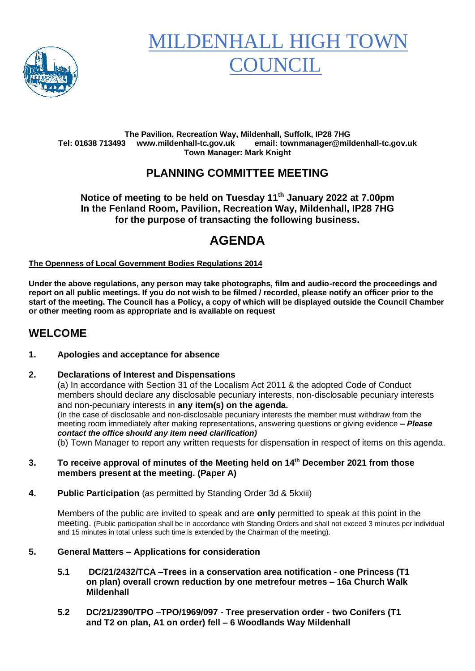

# MILDENHALL HIGH TOV COUNCIL

#### **The Pavilion, Recreation Way, Mildenhall, Suffolk, IP28 7HG Tel: 01638 713493 www.mildenhall-tc.gov.uk email: townmanager@mildenhall-tc.gov.uk Town Manager: Mark Knight**

## **PLANNING COMMITTEE MEETING**

#### **Notice of meeting to be held on Tuesday 11th January 2022 at 7.00pm In the Fenland Room, Pavilion, Recreation Way, Mildenhall, IP28 7HG for the purpose of transacting the following business.**

# **AGENDA**

#### **The Openness of Local Government Bodies Regulations 2014**

**Under the above regulations, any person may take photographs, film and audio-record the proceedings and report on all public meetings. If you do not wish to be filmed / recorded, please notify an officer prior to the start of the meeting. The Council has a Policy, a copy of which will be displayed outside the Council Chamber or other meeting room as appropriate and is available on request**

#### **WELCOME**

#### **1. Apologies and acceptance for absence**

#### **2. Declarations of Interest and Dispensations**

(a) In accordance with Section 31 of the Localism Act 2011 & the adopted Code of Conduct members should declare any disclosable pecuniary interests, non-disclosable pecuniary interests and non-pecuniary interests in **any item(s) on the agenda.** (In the case of disclosable and non-disclosable pecuniary interests the member must withdraw from the meeting room immediately after making representations, answering questions or giving evidence **–** *Please contact the office should any item need clarification)*

(b) Town Manager to report any written requests for dispensation in respect of items on this agenda.

- **3. To receive approval of minutes of the Meeting held on 14th December 2021 from those members present at the meeting. (Paper A)**
- **4. Public Participation** (as permitted by Standing Order 3d & 5kxiii)

Members of the public are invited to speak and are **only** permitted to speak at this point in the meeting. (Public participation shall be in accordance with Standing Orders and shall not exceed 3 minutes per individual and 15 minutes in total unless such time is extended by the Chairman of the meeting).

#### **5. General Matters – Applications for consideration**

- **5.1 DC/21/2432/TCA –Trees in a conservation area notification - one Princess (T1 on plan) overall crown reduction by one metrefour metres – 16a Church Walk Mildenhall**
- **5.2 DC/21/2390/TPO –TPO/1969/097 - Tree preservation order - two Conifers (T1 and T2 on plan, A1 on order) fell – 6 Woodlands Way Mildenhall**